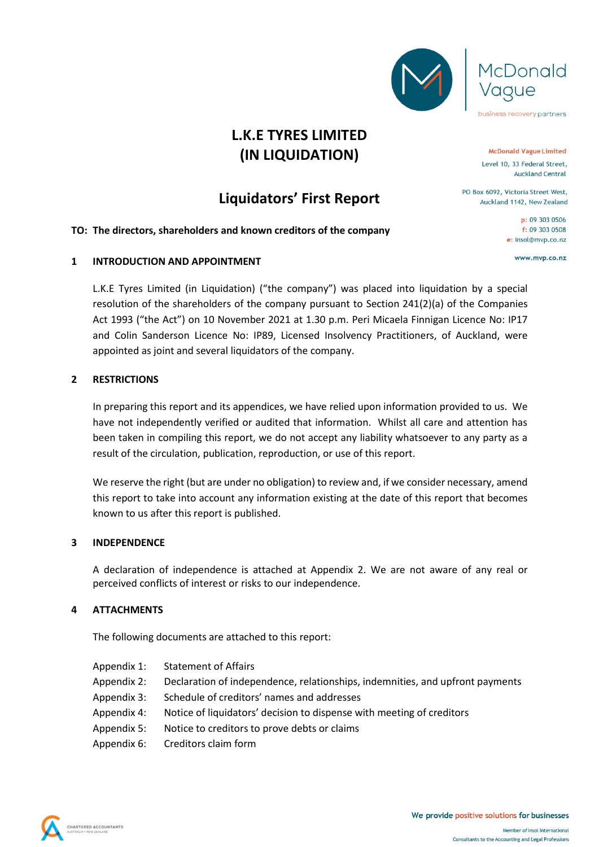



## **Liquidators' First Report**

#### **TO: The directors, shareholders and known creditors of the company**

#### **1 INTRODUCTION AND APPOINTMENT**

L.K.E Tyres Limited (in Liquidation) ("the company") was placed into liquidation by a special resolution of the shareholders of the company pursuant to Section 241(2)(a) of the Companies Act 1993 ("the Act") on 10 November 2021 at 1.30 p.m. Peri Micaela Finnigan Licence No: IP17 and Colin Sanderson Licence No: IP89, Licensed Insolvency Practitioners, of Auckland, were appointed as joint and several liquidators of the company.

#### **2 RESTRICTIONS**

In preparing this report and its appendices, we have relied upon information provided to us. We have not independently verified or audited that information. Whilst all care and attention has been taken in compiling this report, we do not accept any liability whatsoever to any party as a result of the circulation, publication, reproduction, or use of this report.

We reserve the right (but are under no obligation) to review and, if we consider necessary, amend this report to take into account any information existing at the date of this report that becomes known to us after this report is published.

#### **3 INDEPENDENCE**

A declaration of independence is attached at Appendix 2. We are not aware of any real or perceived conflicts of interest or risks to our independence.

#### **4 ATTACHMENTS**

The following documents are attached to this report:

- Appendix 1: Statement of Affairs
- Appendix 2: Declaration of independence, relationships, indemnities, and upfront payments
- Appendix 3: Schedule of creditors' names and addresses
- Appendix 4: Notice of liquidators' decision to dispense with meeting of creditors
- Appendix 5: Notice to creditors to prove debts or claims
- Appendix 6: Creditors claim form





Donald

Level 10, 33 Federal Street, **Auckland Central** 

PO Box 6092, Victoria Street West. Auckland 1142, New Zealand

> p: 09 303 0506 f: 09 303 0508 e: insol@mvp.co.nz

> > www.mvp.co.nz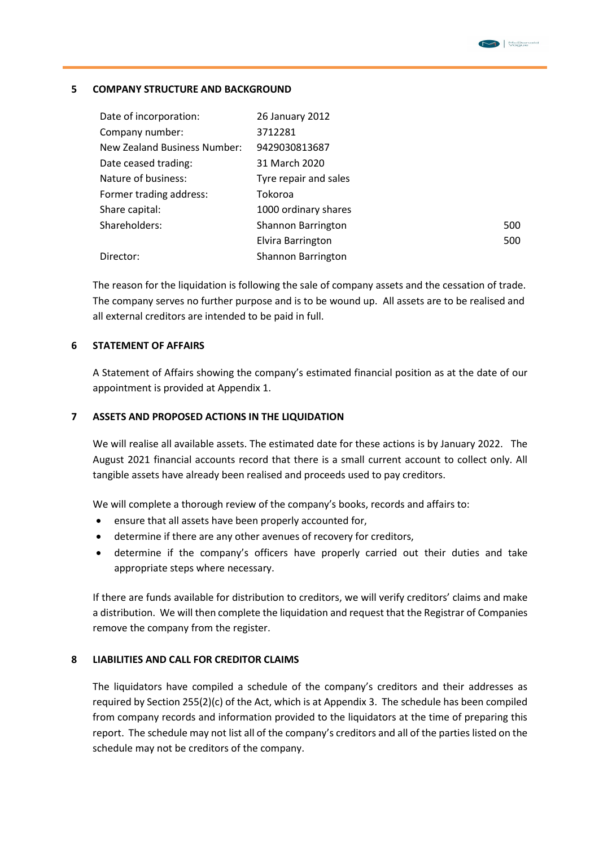#### **5 COMPANY STRUCTURE AND BACKGROUND**

| Date of incorporation:       | 26 January 2012       |     |
|------------------------------|-----------------------|-----|
| Company number:              | 3712281               |     |
| New Zealand Business Number: | 9429030813687         |     |
| Date ceased trading:         | 31 March 2020         |     |
| Nature of business:          | Tyre repair and sales |     |
| Former trading address:      | Tokoroa               |     |
| Share capital:               | 1000 ordinary shares  |     |
| Shareholders:                | Shannon Barrington    | 500 |
|                              | Elvira Barrington     | 500 |
| Director:                    | Shannon Barrington    |     |

The reason for the liquidation is following the sale of company assets and the cessation of trade. The company serves no further purpose and is to be wound up. All assets are to be realised and all external creditors are intended to be paid in full.

#### **6 STATEMENT OF AFFAIRS**

A Statement of Affairs showing the company's estimated financial position as at the date of our appointment is provided at Appendix 1.

#### **7 ASSETS AND PROPOSED ACTIONS IN THE LIQUIDATION**

We will realise all available assets. The estimated date for these actions is by January 2022. The August 2021 financial accounts record that there is a small current account to collect only. All tangible assets have already been realised and proceeds used to pay creditors.

We will complete a thorough review of the company's books, records and affairs to:

- ensure that all assets have been properly accounted for,
- determine if there are any other avenues of recovery for creditors,
- determine if the company's officers have properly carried out their duties and take appropriate steps where necessary.

If there are funds available for distribution to creditors, we will verify creditors' claims and make a distribution. We will then complete the liquidation and request that the Registrar of Companies remove the company from the register.

#### **8 LIABILITIES AND CALL FOR CREDITOR CLAIMS**

The liquidators have compiled a schedule of the company's creditors and their addresses as required by Section 255(2)(c) of the Act, which is at Appendix 3. The schedule has been compiled from company records and information provided to the liquidators at the time of preparing this report. The schedule may not list all of the company's creditors and all of the parties listed on the schedule may not be creditors of the company.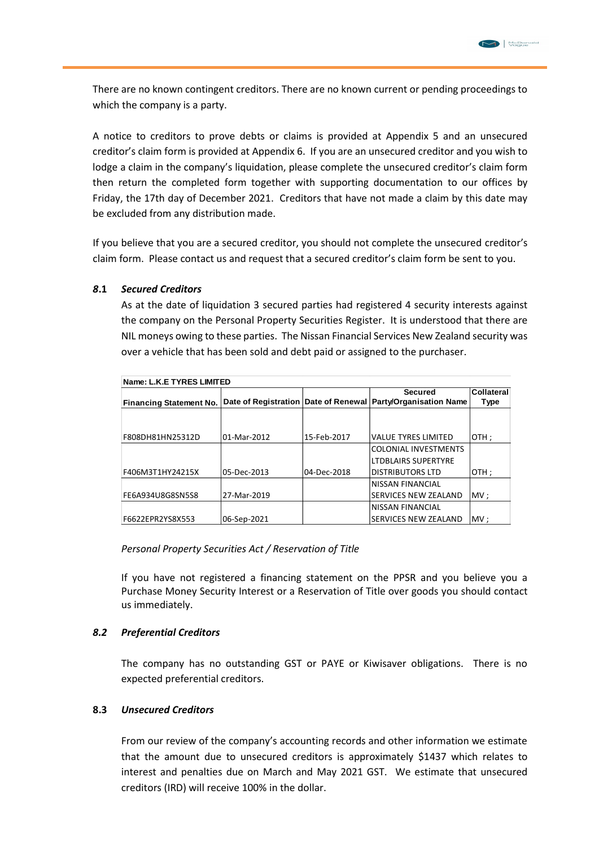

There are no known contingent creditors. There are no known current or pending proceedings to which the company is a party.

A notice to creditors to prove debts or claims is provided at Appendix 5 and an unsecured creditor's claim form is provided at Appendix 6. If you are an unsecured creditor and you wish to lodge a claim in the company's liquidation, please complete the unsecured creditor's claim form then return the completed form together with supporting documentation to our offices by Friday, the 17th day of December 2021. Creditors that have not made a claim by this date may be excluded from any distribution made.

If you believe that you are a secured creditor, you should not complete the unsecured creditor's claim form. Please contact us and request that a secured creditor's claim form be sent to you.

#### *8***.1** *Secured Creditors*

As at the date of liquidation 3 secured parties had registered 4 security interests against the company on the Personal Property Securities Register. It is understood that there are NIL moneys owing to these parties. The Nissan Financial Services New Zealand security was over a vehicle that has been sold and debt paid or assigned to the purchaser.

| Name: L.K.E TYRES LIMITED      |             |             |                                                                  |            |  |  |  |
|--------------------------------|-------------|-------------|------------------------------------------------------------------|------------|--|--|--|
|                                |             |             | <b>Secured</b>                                                   | Collateral |  |  |  |
| <b>Financing Statement No.</b> |             |             | Date of Registration   Date of Renewal   Party/Organisation Name | Type       |  |  |  |
|                                |             |             |                                                                  |            |  |  |  |
|                                |             |             |                                                                  |            |  |  |  |
| F808DH81HN25312D               | 01-Mar-2012 | 15-Feb-2017 | <b>VALUE TYRES LIMITED</b>                                       | OTH ;      |  |  |  |
|                                |             |             | <b>COLONIAL INVESTMENTS</b>                                      |            |  |  |  |
|                                |             |             | <b>LTDBLAIRS SUPERTYRE</b>                                       |            |  |  |  |
| F406M3T1HY24215X               | 05-Dec-2013 | 04-Dec-2018 | <b>DISTRIBUTORS LTD</b>                                          | OTH:       |  |  |  |
|                                |             |             | INISSAN FINANCIAL                                                |            |  |  |  |
| FE6A934U8G8SN5S8               | 27-Mar-2019 |             | <b>SERVICES NEW ZEALAND</b>                                      | MV:        |  |  |  |
|                                |             |             | INISSAN FINANCIAL                                                |            |  |  |  |
| F6622EPR2YS8X553               | 06-Sep-2021 |             | <b>SERVICES NEW ZEALAND</b>                                      | MV:        |  |  |  |

### *Personal Property Securities Act / Reservation of Title*

If you have not registered a financing statement on the PPSR and you believe you a Purchase Money Security Interest or a Reservation of Title over goods you should contact us immediately.

#### *8.2 Preferential Creditors*

The company has no outstanding GST or PAYE or Kiwisaver obligations. There is no expected preferential creditors.

#### **8.3** *Unsecured Creditors*

From our review of the company's accounting records and other information we estimate that the amount due to unsecured creditors is approximately \$1437 which relates to interest and penalties due on March and May 2021 GST. We estimate that unsecured creditors (IRD) will receive 100% in the dollar.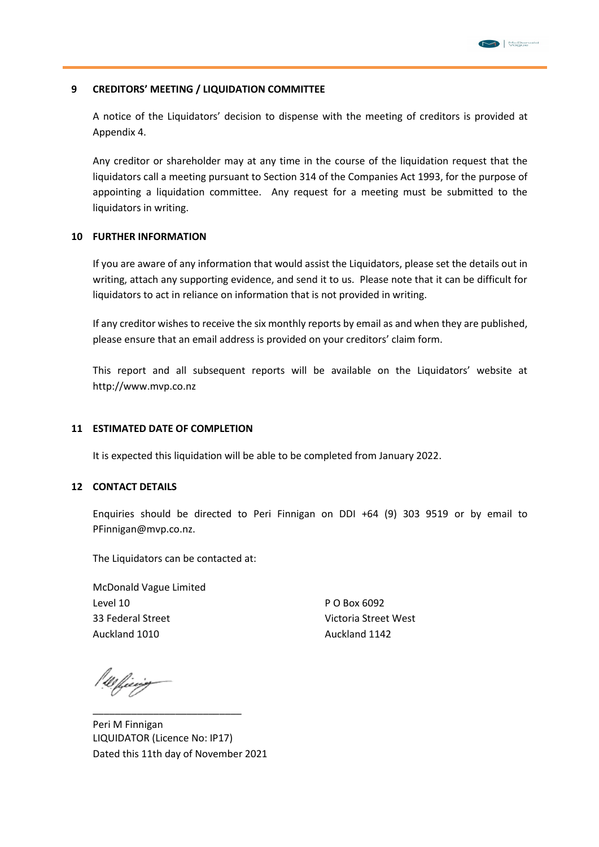#### **9 CREDITORS' MEETING / LIQUIDATION COMMITTEE**

A notice of the Liquidators' decision to dispense with the meeting of creditors is provided at Appendix 4.

Any creditor or shareholder may at any time in the course of the liquidation request that the liquidators call a meeting pursuant to Section 314 of the Companies Act 1993, for the purpose of appointing a liquidation committee. Any request for a meeting must be submitted to the liquidators in writing.

#### **10 FURTHER INFORMATION**

If you are aware of any information that would assist the Liquidators, please set the details out in writing, attach any supporting evidence, and send it to us. Please note that it can be difficult for liquidators to act in reliance on information that is not provided in writing.

If any creditor wishes to receive the six monthly reports by email as and when they are published, please ensure that an email address is provided on your creditors' claim form.

This report and all subsequent reports will be available on the Liquidators' website at http://www.mvp.co.nz

#### **11 ESTIMATED DATE OF COMPLETION**

It is expected this liquidation will be able to be completed from January 2022.

#### **12 CONTACT DETAILS**

Enquiries should be directed to Peri Finnigan on DDI +64 (9) 303 9519 or by email to PFinnigan@mvp.co.nz.

The Liquidators can be contacted at:

McDonald Vague Limited Level 10 P O Box 6092 33 Federal Street Victoria Street West Auckland 1010 Auckland 1142

00 ffeerig

Peri M Finnigan LIQUIDATOR (Licence No: IP17) Dated this 11th day of November 2021

\_\_\_\_\_\_\_\_\_\_\_\_\_\_\_\_\_\_\_\_\_\_\_\_\_\_\_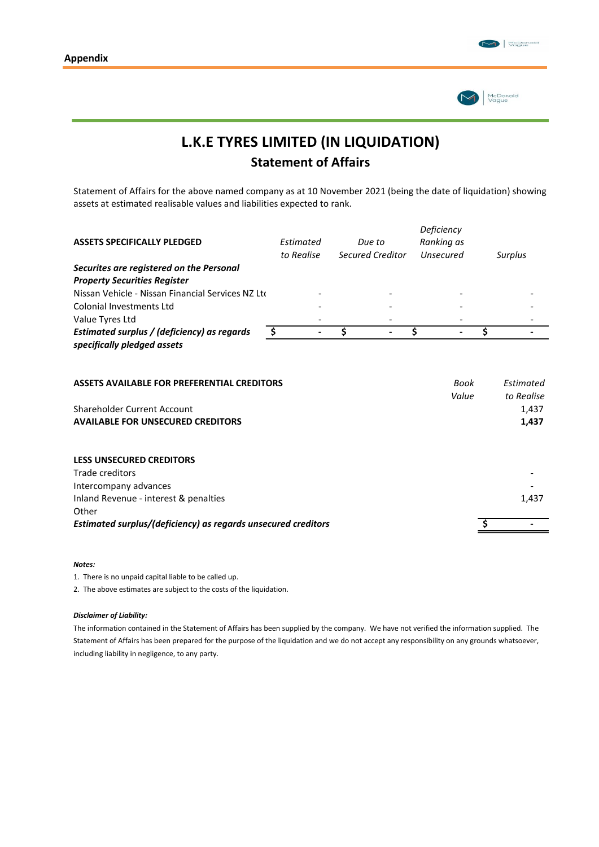

# **L.K.E TYRES LIMITED (IN LIQUIDATION) Statement of Affairs**

Statement of Affairs for the above named company as at 10 November 2021 (being the date of liquidation) showing assets at estimated realisable values and liabilities expected to rank.

|                                                                                                                        |            |                  | Deficiency    |                                           |
|------------------------------------------------------------------------------------------------------------------------|------------|------------------|---------------|-------------------------------------------|
| <b>ASSETS SPECIFICALLY PLEDGED</b>                                                                                     | Estimated  | Due to           | Ranking as    |                                           |
|                                                                                                                        | to Realise | Secured Creditor | Unsecured     | Surplus                                   |
| Securites are registered on the Personal                                                                               |            |                  |               |                                           |
| <b>Property Securities Register</b>                                                                                    |            |                  |               |                                           |
| Nissan Vehicle - Nissan Financial Services NZ Ltd                                                                      |            |                  |               |                                           |
| Colonial Investments Ltd                                                                                               |            |                  |               |                                           |
| Value Tyres Ltd                                                                                                        |            |                  |               |                                           |
| Estimated surplus / (deficiency) as regards                                                                            | \$         | \$               | \$            | \$                                        |
| specifically pledged assets                                                                                            |            |                  |               |                                           |
| ASSETS AVAILABLE FOR PREFERENTIAL CREDITORS<br>Shareholder Current Account<br><b>AVAILABLE FOR UNSECURED CREDITORS</b> |            |                  | Book<br>Value | Estimated<br>to Realise<br>1,437<br>1,437 |
| <b>LESS UNSECURED CREDITORS</b>                                                                                        |            |                  |               |                                           |
| Trade creditors                                                                                                        |            |                  |               |                                           |
| Intercompany advances                                                                                                  |            |                  |               |                                           |
| Inland Revenue - interest & penalties                                                                                  |            |                  |               | 1,437                                     |
| Other                                                                                                                  |            |                  |               |                                           |
| Estimated surplus/(deficiency) as regards unsecured creditors                                                          |            |                  |               |                                           |
|                                                                                                                        |            |                  |               |                                           |

#### *Notes:*

1. There is no unpaid capital liable to be called up.

2. The above estimates are subject to the costs of the liquidation.

#### *Disclaimer of Liability:*

The information contained in the Statement of Affairs has been supplied by the company. We have not verified the information supplied. The Statement of Affairs has been prepared for the purpose of the liquidation and we do not accept any responsibility on any grounds whatsoever, including liability in negligence, to any party.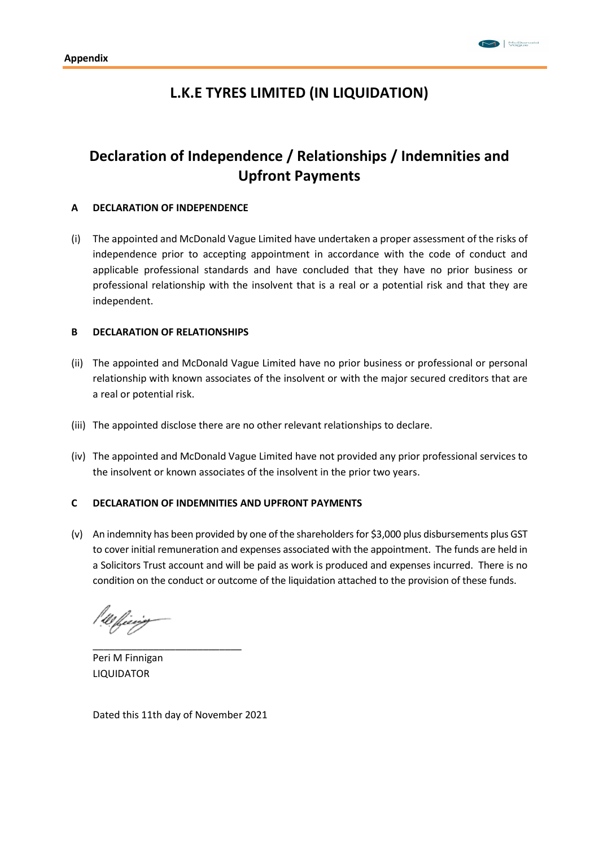## **L.K.E TYRES LIMITED (IN LIQUIDATION)**

## **Declaration of Independence / Relationships / Indemnities and Upfront Payments**

#### **A DECLARATION OF INDEPENDENCE**

(i) The appointed and McDonald Vague Limited have undertaken a proper assessment of the risks of independence prior to accepting appointment in accordance with the code of conduct and applicable professional standards and have concluded that they have no prior business or professional relationship with the insolvent that is a real or a potential risk and that they are independent.

#### **B DECLARATION OF RELATIONSHIPS**

- (ii) The appointed and McDonald Vague Limited have no prior business or professional or personal relationship with known associates of the insolvent or with the major secured creditors that are a real or potential risk.
- (iii) The appointed disclose there are no other relevant relationships to declare.
- (iv) The appointed and McDonald Vague Limited have not provided any prior professional services to the insolvent or known associates of the insolvent in the prior two years.

#### **C DECLARATION OF INDEMNITIES AND UPFRONT PAYMENTS**

(v) An indemnity has been provided by one of the shareholders for \$3,000 plus disbursements plus GST to cover initial remuneration and expenses associated with the appointment. The funds are held in a Solicitors Trust account and will be paid as work is produced and expenses incurred. There is no condition on the conduct or outcome of the liquidation attached to the provision of these funds.

Peri M Finnigan LIQUIDATOR

Dated this 11th day of November 2021

\_\_\_\_\_\_\_\_\_\_\_\_\_\_\_\_\_\_\_\_\_\_\_\_\_\_\_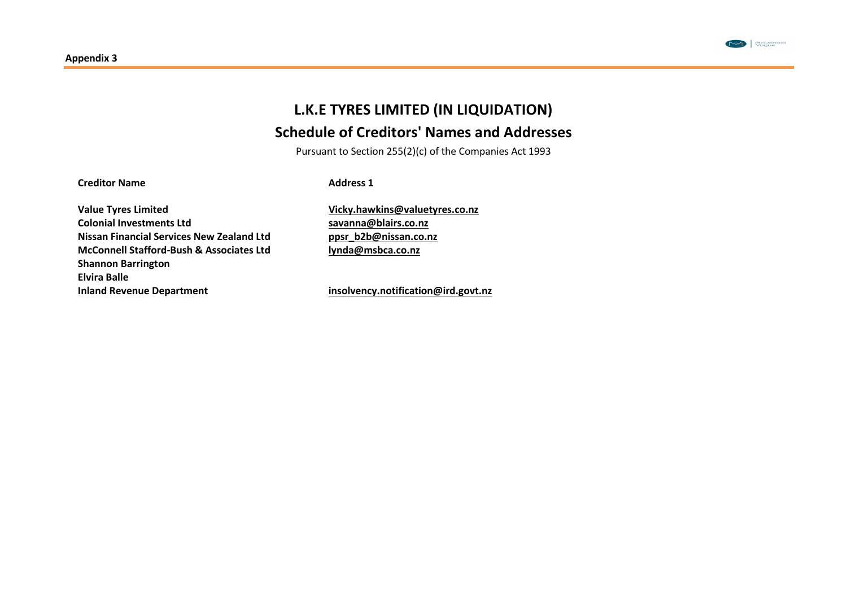

# **L.K.E TYRES LIMITED (IN LIQUIDATION) Schedule of Creditors' Names and Addresses**

Pursuant to Section 255(2)(c) of the Companies Act 1993

**Creditor Name**

**Address 1**

**Value Tyres Limited Colonial Investments Ltd Nissan Financial Services New Zealand Ltd McConnell Stafford-Bush & Associates Ltd Shannon Barrington Elvira Balle Inland Revenue Department**

**[Vicky.hawkins@valuetyres.co.nz](mailto:Vicky.hawkins@valuetyres.co.nz) [savanna@blairs.co.nz](mailto:savanna@blairs.co.nz) [ppsr\\_b2b@nissan.co.nz](mailto:ppsr_b2b@nissan.co.nz) [lynda@msbca.co.nz](mailto:lynda@msbca.co.nz)**

**[insolvency.notification@ird.govt.nz](mailto:insolvency.notification@ird.govt.nz)**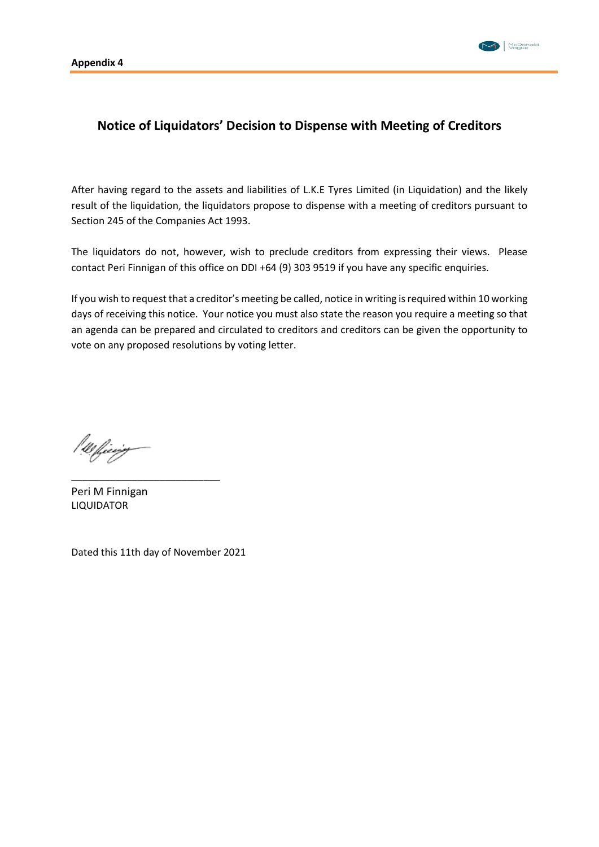

### **Notice of Liquidators' Decision to Dispense with Meeting of Creditors**

After having regard to the assets and liabilities of L.K.E Tyres Limited (in Liquidation) and the likely result of the liquidation, the liquidators propose to dispense with a meeting of creditors pursuant to Section 245 of the Companies Act 1993.

The liquidators do not, however, wish to preclude creditors from expressing their views. Please contact Peri Finnigan of this office on DDI +64 (9) 303 9519 if you have any specific enquiries.

If you wish to request that a creditor's meeting be called, notice in writing is required within 10 working days of receiving this notice. Your notice you must also state the reason you require a meeting so that an agenda can be prepared and circulated to creditors and creditors can be given the opportunity to vote on any proposed resolutions by voting letter.

!!! fieeig

Peri M Finnigan LIQUIDATOR

Dated this 11th day of November 2021

\_\_\_\_\_\_\_\_\_\_\_\_\_\_\_\_\_\_\_\_\_\_\_\_\_\_\_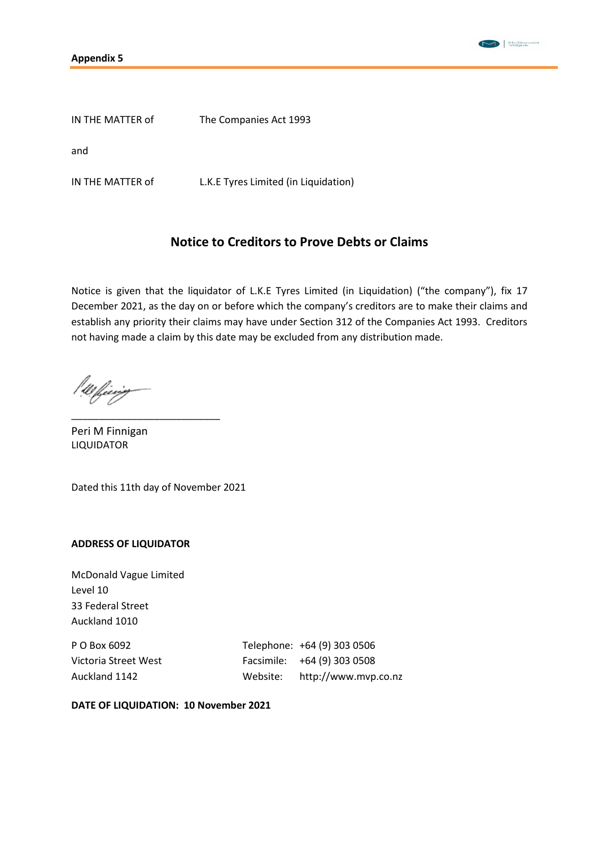



IN THE MATTER of The Companies Act 1993

and

IN THE MATTER of L.K.E Tyres Limited (in Liquidation)

### **Notice to Creditors to Prove Debts or Claims**

Notice is given that the liquidator of L.K.E Tyres Limited (in Liquidation) ("the company"), fix 17 December 2021, as the day on or before which the company's creditors are to make their claims and establish any priority their claims may have under Section 312 of the Companies Act 1993. Creditors not having made a claim by this date may be excluded from any distribution made.

Peri M Finnigan LIQUIDATOR

Dated this 11th day of November 2021

\_\_\_\_\_\_\_\_\_\_\_\_\_\_\_\_\_\_\_\_\_\_\_\_\_\_\_

#### **ADDRESS OF LIQUIDATOR**

McDonald Vague Limited Level 10 33 Federal Street Auckland 1010

P O Box 6092 Telephone: +64 (9) 303 0506 Victoria Street West Facsimile: +64 (9) 303 0508

Auckland 1142 Website: http://www.mvp.co.nz

**DATE OF LIQUIDATION: 10 November 2021**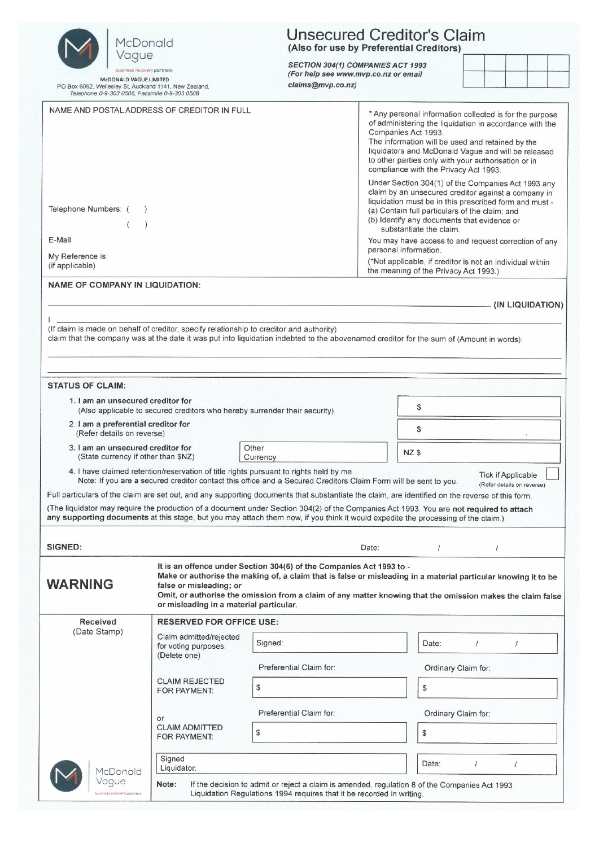| McDonald                                                                                                                                                                                                                             | <b>Unsecured Creditor's Claim</b><br>(Also for use by Preferential Creditors) |                                                                                                                                                                                                                                                                                                      |                                                                                                                                                                                                                                                                                                                                                                                                                                               |                     |                                                         |                  |  |  |  |
|--------------------------------------------------------------------------------------------------------------------------------------------------------------------------------------------------------------------------------------|-------------------------------------------------------------------------------|------------------------------------------------------------------------------------------------------------------------------------------------------------------------------------------------------------------------------------------------------------------------------------------------------|-----------------------------------------------------------------------------------------------------------------------------------------------------------------------------------------------------------------------------------------------------------------------------------------------------------------------------------------------------------------------------------------------------------------------------------------------|---------------------|---------------------------------------------------------|------------------|--|--|--|
| Vague<br>business recovery partners                                                                                                                                                                                                  |                                                                               | SECTION 304(1) COMPANIES ACT 1993<br>(For help see www.mvp.co.nz or email                                                                                                                                                                                                                            |                                                                                                                                                                                                                                                                                                                                                                                                                                               |                     |                                                         |                  |  |  |  |
| <b>McDONALD VAGUE LIMITED</b><br>PO Box 6092, Wellesley St, Auckland 1141, New Zealand.<br>Telephone 0-9-303 0506, Facsimile 0-9-303 0508                                                                                            |                                                                               | claims@mvp.co.nz)                                                                                                                                                                                                                                                                                    |                                                                                                                                                                                                                                                                                                                                                                                                                                               |                     |                                                         |                  |  |  |  |
| NAME AND POSTAL ADDRESS OF CREDITOR IN FULL                                                                                                                                                                                          |                                                                               |                                                                                                                                                                                                                                                                                                      | * Any personal information collected is for the purpose<br>of administering the liquidation in accordance with the<br>Companies Act 1993.<br>The information will be used and retained by the<br>liquidators and McDonald Vague and will be released<br>to other parties only with your authorisation or in<br>compliance with the Privacy Act 1993.                                                                                          |                     |                                                         |                  |  |  |  |
| Telephone Numbers: (<br>E-Mail<br>My Reference is:<br>(if applicable)                                                                                                                                                                |                                                                               |                                                                                                                                                                                                                                                                                                      | Under Section 304(1) of the Companies Act 1993 any<br>claim by an unsecured creditor against a company in<br>liquidation must be in this prescribed form and must -<br>(a) Contain full particulars of the claim; and<br>(b) Identify any documents that evidence or<br>substantiate the claim.<br>You may have access to and request correction of any<br>personal information.<br>(*Not applicable, if creditor is not an individual within |                     |                                                         |                  |  |  |  |
| <b>NAME OF COMPANY IN LIQUIDATION:</b>                                                                                                                                                                                               |                                                                               |                                                                                                                                                                                                                                                                                                      | the meaning of the Privacy Act 1993.)                                                                                                                                                                                                                                                                                                                                                                                                         |                     |                                                         |                  |  |  |  |
|                                                                                                                                                                                                                                      |                                                                               |                                                                                                                                                                                                                                                                                                      |                                                                                                                                                                                                                                                                                                                                                                                                                                               |                     |                                                         | (IN LIQUIDATION) |  |  |  |
| (If claim is made on behalf of creditor, specify relationship to creditor and authority)<br>claim that the company was at the date it was put into liquidation indebted to the abovenamed creditor for the sum of (Amount in words): |                                                                               |                                                                                                                                                                                                                                                                                                      |                                                                                                                                                                                                                                                                                                                                                                                                                                               |                     |                                                         |                  |  |  |  |
|                                                                                                                                                                                                                                      |                                                                               |                                                                                                                                                                                                                                                                                                      |                                                                                                                                                                                                                                                                                                                                                                                                                                               |                     |                                                         |                  |  |  |  |
| <b>STATUS OF CLAIM:</b><br>1. I am an unsecured creditor for                                                                                                                                                                         |                                                                               |                                                                                                                                                                                                                                                                                                      |                                                                                                                                                                                                                                                                                                                                                                                                                                               |                     |                                                         |                  |  |  |  |
|                                                                                                                                                                                                                                      | (Also applicable to secured creditors who hereby surrender their security)    |                                                                                                                                                                                                                                                                                                      | \$                                                                                                                                                                                                                                                                                                                                                                                                                                            |                     |                                                         |                  |  |  |  |
| 2. I am a preferential creditor for<br>\$<br>(Refer details on reverse)                                                                                                                                                              |                                                                               |                                                                                                                                                                                                                                                                                                      |                                                                                                                                                                                                                                                                                                                                                                                                                                               |                     |                                                         |                  |  |  |  |
| 3. I am an unsecured creditor for<br>(State currency if other than \$NZ)                                                                                                                                                             |                                                                               | Other<br>Currency                                                                                                                                                                                                                                                                                    | NZ \$                                                                                                                                                                                                                                                                                                                                                                                                                                         |                     |                                                         |                  |  |  |  |
|                                                                                                                                                                                                                                      |                                                                               | 4. I have claimed retention/reservation of title rights pursuant to rights held by me<br>Note: If you are a secured creditor contact this office and a Secured Creditors Claim Form will be sent to you.                                                                                             |                                                                                                                                                                                                                                                                                                                                                                                                                                               |                     | <b>Tick if Applicable</b><br>(Refer details on reverse) |                  |  |  |  |
|                                                                                                                                                                                                                                      |                                                                               | Full particulars of the claim are set out, and any supporting documents that substantiate the claim, are identified on the reverse of this form.                                                                                                                                                     |                                                                                                                                                                                                                                                                                                                                                                                                                                               |                     |                                                         |                  |  |  |  |
|                                                                                                                                                                                                                                      |                                                                               | (The liquidator may require the production of a document under Section 304(2) of the Companies Act 1993. You are not required to attach<br>any supporting documents at this stage, but you may attach them now, if you think it would expedite the processing of the claim.)                         |                                                                                                                                                                                                                                                                                                                                                                                                                                               |                     |                                                         |                  |  |  |  |
|                                                                                                                                                                                                                                      |                                                                               |                                                                                                                                                                                                                                                                                                      |                                                                                                                                                                                                                                                                                                                                                                                                                                               |                     |                                                         |                  |  |  |  |
| <b>SIGNED:</b>                                                                                                                                                                                                                       |                                                                               |                                                                                                                                                                                                                                                                                                      | Date:<br>$\prime$                                                                                                                                                                                                                                                                                                                                                                                                                             | $\prime$            |                                                         |                  |  |  |  |
| <b>WARNING</b>                                                                                                                                                                                                                       | false or misleading; or<br>or misleading in a material particular.            | It is an offence under Section 304(6) of the Companies Act 1993 to -<br>Make or authorise the making of, a claim that is false or misleading in a material particular knowing it to be<br>Omit, or authorise the omission from a claim of any matter knowing that the omission makes the claim false |                                                                                                                                                                                                                                                                                                                                                                                                                                               |                     |                                                         |                  |  |  |  |
| <b>Received</b><br>(Date Stamp)                                                                                                                                                                                                      | <b>RESERVED FOR OFFICE USE:</b>                                               |                                                                                                                                                                                                                                                                                                      |                                                                                                                                                                                                                                                                                                                                                                                                                                               |                     |                                                         |                  |  |  |  |
|                                                                                                                                                                                                                                      | Claim admitted/rejected<br>for voting purposes:<br>(Delete one)               | Signed:                                                                                                                                                                                                                                                                                              | Date:                                                                                                                                                                                                                                                                                                                                                                                                                                         |                     |                                                         |                  |  |  |  |
|                                                                                                                                                                                                                                      |                                                                               | Preferential Claim for:                                                                                                                                                                                                                                                                              |                                                                                                                                                                                                                                                                                                                                                                                                                                               | Ordinary Claim for: |                                                         |                  |  |  |  |
|                                                                                                                                                                                                                                      | <b>CLAIM REJECTED</b><br>FOR PAYMENT:                                         | \$                                                                                                                                                                                                                                                                                                   | $\mathcal{S}$                                                                                                                                                                                                                                                                                                                                                                                                                                 |                     |                                                         |                  |  |  |  |
|                                                                                                                                                                                                                                      |                                                                               | Preferential Claim for:                                                                                                                                                                                                                                                                              |                                                                                                                                                                                                                                                                                                                                                                                                                                               | Ordinary Claim for: |                                                         |                  |  |  |  |
|                                                                                                                                                                                                                                      | or<br><b>CLAIM ADMITTED</b><br>FOR PAYMENT:                                   | \$                                                                                                                                                                                                                                                                                                   | \$                                                                                                                                                                                                                                                                                                                                                                                                                                            |                     |                                                         |                  |  |  |  |
| McDonald                                                                                                                                                                                                                             | Signed<br>Liquidator:                                                         |                                                                                                                                                                                                                                                                                                      | Date:                                                                                                                                                                                                                                                                                                                                                                                                                                         | $\prime$            |                                                         |                  |  |  |  |
| Vague<br>business recovery partners                                                                                                                                                                                                  | Note:                                                                         | If the decision to admit or reject a claim is amended, regulation 8 of the Companies Act 1993<br>Liquidation Regulations 1994 requires that it be recorded in writing.                                                                                                                               |                                                                                                                                                                                                                                                                                                                                                                                                                                               |                     |                                                         |                  |  |  |  |